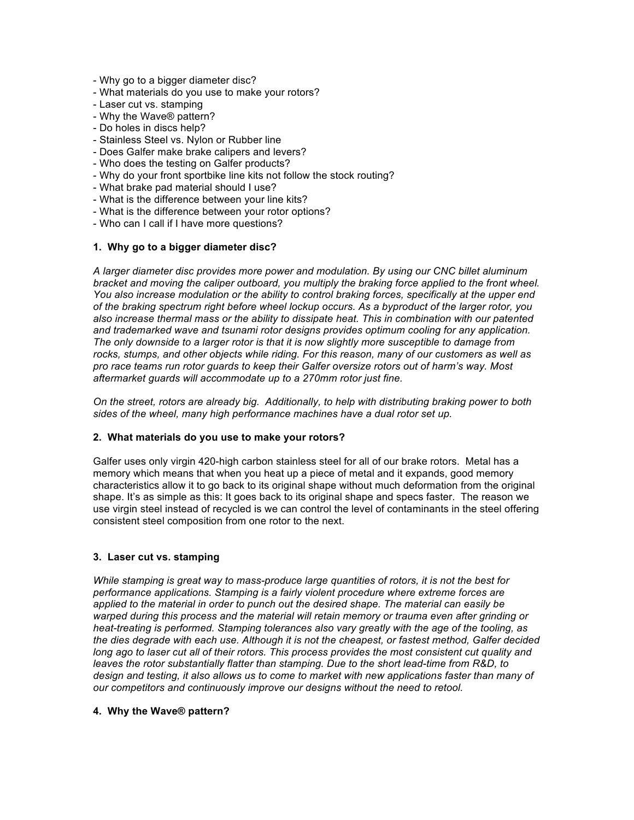- Why go to a bigger diameter disc?
- What materials do you use to make your rotors?
- Laser cut vs. stamping
- Why the Wave® pattern?
- Do holes in discs help?
- Stainless Steel vs. Nylon or Rubber line
- Does Galfer make brake calipers and levers?
- Who does the testing on Galfer products?
- Why do your front sportbike line kits not follow the stock routing?
- What brake pad material should I use?
- What is the difference between your line kits?
- What is the difference between your rotor options?
- Who can I call if I have more questions?

## **1. Why go to a bigger diameter disc?**

*A larger diameter disc provides more power and modulation. By using our CNC billet aluminum bracket and moving the caliper outboard, you multiply the braking force applied to the front wheel. You also increase modulation or the ability to control braking forces, specifically at the upper end of the braking spectrum right before wheel lockup occurs. As a byproduct of the larger rotor, you also increase thermal mass or the ability to dissipate heat. This in combination with our patented and trademarked wave and tsunami rotor designs provides optimum cooling for any application. The only downside to a larger rotor is that it is now slightly more susceptible to damage from rocks, stumps, and other objects while riding. For this reason, many of our customers as well as pro race teams run rotor guards to keep their Galfer oversize rotors out of harm's way. Most aftermarket guards will accommodate up to a 270mm rotor just fine.*

*On the street, rotors are already big. Additionally, to help with distributing braking power to both sides of the wheel, many high performance machines have a dual rotor set up.*

#### **2. What materials do you use to make your rotors?**

Galfer uses only virgin 420-high carbon stainless steel for all of our brake rotors. Metal has a memory which means that when you heat up a piece of metal and it expands, good memory characteristics allow it to go back to its original shape without much deformation from the original shape. It's as simple as this: It goes back to its original shape and specs faster. The reason we use virgin steel instead of recycled is we can control the level of contaminants in the steel offering consistent steel composition from one rotor to the next.

#### **3. Laser cut vs. stamping**

*While stamping is great way to mass-produce large quantities of rotors, it is not the best for performance applications. Stamping is a fairly violent procedure where extreme forces are applied to the material in order to punch out the desired shape. The material can easily be warped during this process and the material will retain memory or trauma even after grinding or heat-treating is performed. Stamping tolerances also vary greatly with the age of the tooling, as the dies degrade with each use. Although it is not the cheapest, or fastest method, Galfer decided*  long ago to laser cut all of their rotors. This process provides the most consistent cut quality and *leaves the rotor substantially flatter than stamping. Due to the short lead-time from R&D, to design and testing, it also allows us to come to market with new applications faster than many of our competitors and continuously improve our designs without the need to retool.*

## **4. Why the Wave® pattern?**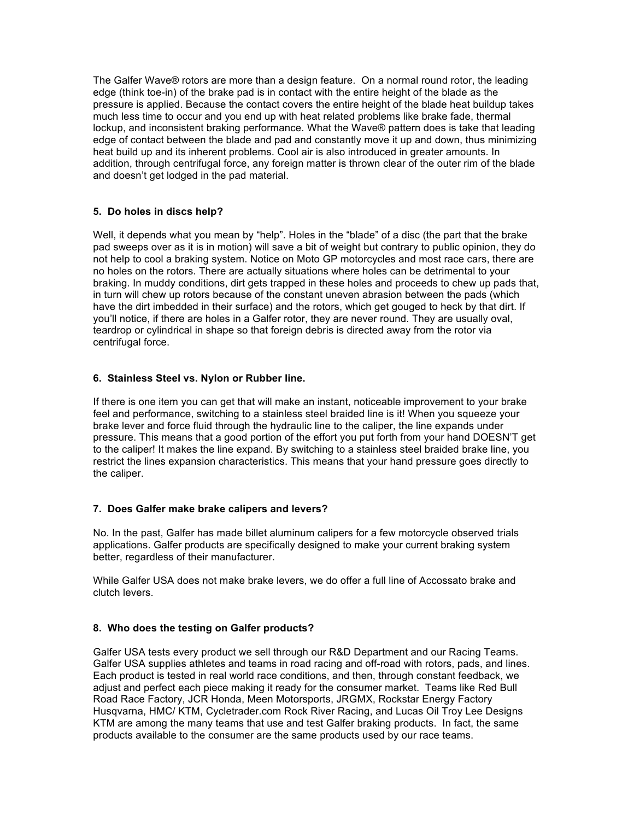The Galfer Wave® rotors are more than a design feature. On a normal round rotor, the leading edge (think toe-in) of the brake pad is in contact with the entire height of the blade as the pressure is applied. Because the contact covers the entire height of the blade heat buildup takes much less time to occur and you end up with heat related problems like brake fade, thermal lockup, and inconsistent braking performance. What the Wave® pattern does is take that leading edge of contact between the blade and pad and constantly move it up and down, thus minimizing heat build up and its inherent problems. Cool air is also introduced in greater amounts. In addition, through centrifugal force, any foreign matter is thrown clear of the outer rim of the blade and doesn't get lodged in the pad material.

# **5. Do holes in discs help?**

Well, it depends what you mean by "help". Holes in the "blade" of a disc (the part that the brake pad sweeps over as it is in motion) will save a bit of weight but contrary to public opinion, they do not help to cool a braking system. Notice on Moto GP motorcycles and most race cars, there are no holes on the rotors. There are actually situations where holes can be detrimental to your braking. In muddy conditions, dirt gets trapped in these holes and proceeds to chew up pads that, in turn will chew up rotors because of the constant uneven abrasion between the pads (which have the dirt imbedded in their surface) and the rotors, which get gouged to heck by that dirt. If you'll notice, if there are holes in a Galfer rotor, they are never round. They are usually oval, teardrop or cylindrical in shape so that foreign debris is directed away from the rotor via centrifugal force.

#### **6. Stainless Steel vs. Nylon or Rubber line.**

If there is one item you can get that will make an instant, noticeable improvement to your brake feel and performance, switching to a stainless steel braided line is it! When you squeeze your brake lever and force fluid through the hydraulic line to the caliper, the line expands under pressure. This means that a good portion of the effort you put forth from your hand DOESN'T get to the caliper! It makes the line expand. By switching to a stainless steel braided brake line, you restrict the lines expansion characteristics. This means that your hand pressure goes directly to the caliper.

#### **7. Does Galfer make brake calipers and levers?**

No. In the past, Galfer has made billet aluminum calipers for a few motorcycle observed trials applications. Galfer products are specifically designed to make your current braking system better, regardless of their manufacturer.

While Galfer USA does not make brake levers, we do offer a full line of Accossato brake and clutch levers.

#### **8. Who does the testing on Galfer products?**

Galfer USA tests every product we sell through our R&D Department and our Racing Teams. Galfer USA supplies athletes and teams in road racing and off-road with rotors, pads, and lines. Each product is tested in real world race conditions, and then, through constant feedback, we adjust and perfect each piece making it ready for the consumer market. Teams like Red Bull Road Race Factory, JCR Honda, Meen Motorsports, JRGMX, Rockstar Energy Factory Husqvarna, HMC/ KTM, Cycletrader.com Rock River Racing, and Lucas Oil Troy Lee Designs KTM are among the many teams that use and test Galfer braking products. In fact, the same products available to the consumer are the same products used by our race teams.